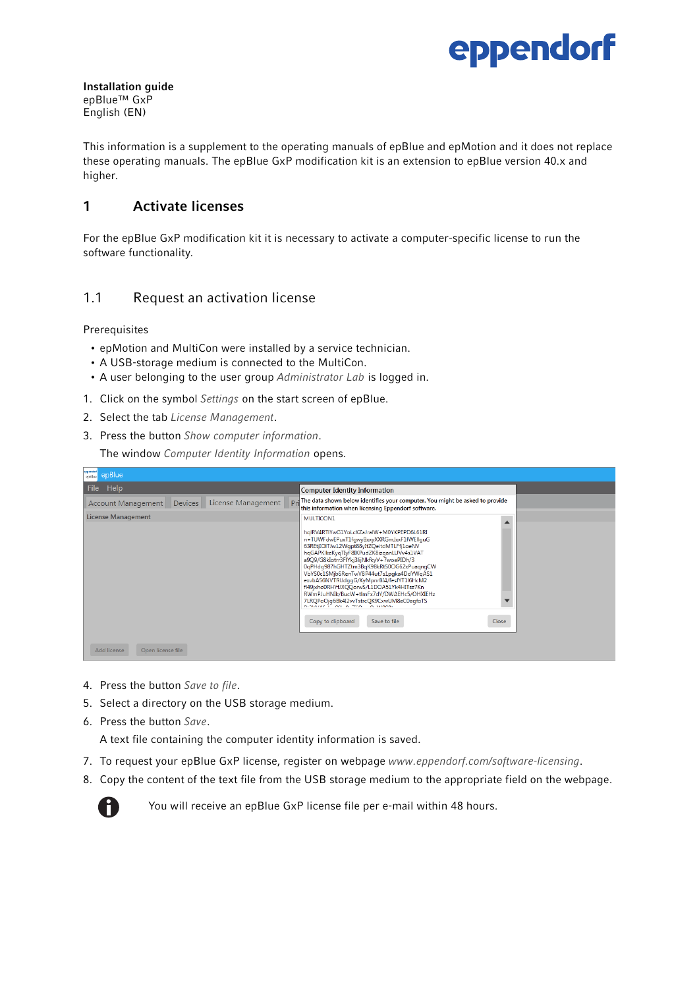

Installation guide epBlue™ GxP English (EN)

This information is a supplement to the operating manuals of epBlue and epMotion and it does not replace these operating manuals. The epBlue GxP modification kit is an extension to epBlue version 40.x and higher.

## 1 Activate licenses

For the epBlue GxP modification kit it is necessary to activate a computer-specific license to run the software functionality.

## 1.1 Request an activation license

Prerequisites

- epMotion and MultiCon were installed by a service technician.
- A USB-storage medium is connected to the MultiCon.
- A user belonging to the user group Administrator Lab is logged in.
- 1. Click on the symbol Settings on the start screen of epBlue.
- 2. Select the tab License Management.
- 3. Press the button Show computer information.

The window Computer Identity Information opens.

| <b>Imperidorf</b><br>epBlue<br>epBlue                                 |                                                                                                                                                                                                                                                                                                                                                                                                                                                                                                                                             |
|-----------------------------------------------------------------------|---------------------------------------------------------------------------------------------------------------------------------------------------------------------------------------------------------------------------------------------------------------------------------------------------------------------------------------------------------------------------------------------------------------------------------------------------------------------------------------------------------------------------------------------|
| Help<br>File                                                          | <b>Computer Identity Information</b>                                                                                                                                                                                                                                                                                                                                                                                                                                                                                                        |
| D <sub>r</sub><br>License Management<br>Devices<br>Account Management | The data shown below identifies your computer. You might be asked to provide<br>this information when licensing Eppendorf software.                                                                                                                                                                                                                                                                                                                                                                                                         |
| <b>License Management</b>                                             | MULTICON1<br>hqlRV4RTIYwG1YoLcKZaJralW+M0YKPEPD6L61RI<br>n+TUWFdwEPuxT1fgwy8xxyXXRGmJxxF1fWEllquG<br>63REtjIOITJw12Wgpt88yItZQeitdMTLFfj1oeNV<br>hqGAPKIkeKyqTIyF8IKPudZK8izqanLUVv4s1VAT<br>a9Q9/G8kIotrr3FIYkj3lijNkfkyV+7woePIDh/3<br>0qPHdq987hGHTZtm3BqK98kRtS0OG62xPuaqnqCW<br>VbYS0c1SMjbSRenTwVBP44ut7s1pqka4DdYWqAS1<br>exvbAS6NVTRUdggG/KyMpnrBI4/fesfYT1I6HcM2<br>fl49jxho0RHYfJXQQorwS/L1DOA51Yk4HITsz7Kn<br>RWmPJuHNIk/BucW+tlmFx7dY/DWAEHc5/OHXIEHz<br>7LRQPoOjg6Bk4I2vvTstrcQK9CxwUM8eC0egfoTS<br>DISTANCE OF A STOL O HISPS |
|                                                                       | Copy to clipboard<br>Save to file<br>Close                                                                                                                                                                                                                                                                                                                                                                                                                                                                                                  |
| Add license<br>Open license file                                      |                                                                                                                                                                                                                                                                                                                                                                                                                                                                                                                                             |

- 4. Press the button Save to file.
- 5. Select a directory on the USB storage medium.
- 6. Press the button Save.

A text file containing the computer identity information is saved.

- 7. To request your epBlue GxP license, register on webpage www.eppendorf.com/software-licensing.
- 8. Copy the content of the text file from the USB storage medium to the appropriate field on the webpage.



You will receive an epBlue GxP license file per e-mail within 48 hours.